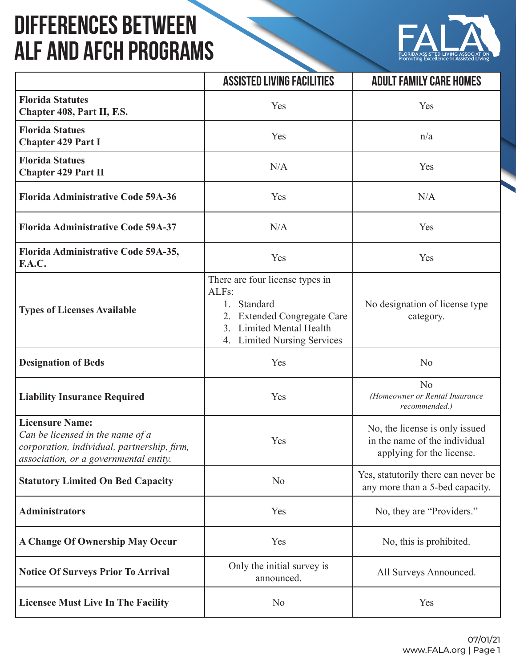## **Differences Between ALF and AFCH Programs**



|                                                                                                                                                     | <b>ASSISTED LIVING FACILITIES</b>                                                                                                                              | <b>ADULT FAMILY CARE HOMES</b>                                                               |
|-----------------------------------------------------------------------------------------------------------------------------------------------------|----------------------------------------------------------------------------------------------------------------------------------------------------------------|----------------------------------------------------------------------------------------------|
| <b>Florida Statutes</b><br>Chapter 408, Part II, F.S.                                                                                               | Yes                                                                                                                                                            | Yes                                                                                          |
| <b>Florida Statues</b><br><b>Chapter 429 Part I</b>                                                                                                 | Yes                                                                                                                                                            | n/a                                                                                          |
| <b>Florida Statues</b><br><b>Chapter 429 Part II</b>                                                                                                | N/A                                                                                                                                                            | Yes                                                                                          |
| <b>Florida Administrative Code 59A-36</b>                                                                                                           | Yes                                                                                                                                                            | N/A                                                                                          |
| <b>Florida Administrative Code 59A-37</b>                                                                                                           | N/A                                                                                                                                                            | Yes                                                                                          |
| Florida Administrative Code 59A-35,<br><b>F.A.C.</b>                                                                                                | Yes                                                                                                                                                            | Yes                                                                                          |
| <b>Types of Licenses Available</b>                                                                                                                  | There are four license types in<br>ALFs:<br>Standard<br>1.<br>2. Extended Congregate Care<br>3. Limited Mental Health<br><b>Limited Nursing Services</b><br>4. | No designation of license type<br>category.                                                  |
| <b>Designation of Beds</b>                                                                                                                          | Yes                                                                                                                                                            | N <sub>o</sub>                                                                               |
| <b>Liability Insurance Required</b>                                                                                                                 | Yes                                                                                                                                                            | N <sub>o</sub><br>(Homeowner or Rental Insurance<br>recommended.)                            |
| <b>Licensure Name:</b><br>Can be licensed in the name of a<br>corporation, individual, partnership, firm,<br>association, or a governmental entity. | Yes                                                                                                                                                            | No, the license is only issued<br>in the name of the individual<br>applying for the license. |
| <b>Statutory Limited On Bed Capacity</b>                                                                                                            | N <sub>o</sub>                                                                                                                                                 | Yes, statutorily there can never be<br>any more than a 5-bed capacity.                       |
| <b>Administrators</b>                                                                                                                               | Yes                                                                                                                                                            | No, they are "Providers."                                                                    |
| <b>A Change Of Ownership May Occur</b>                                                                                                              | Yes                                                                                                                                                            | No, this is prohibited.                                                                      |
| <b>Notice Of Surveys Prior To Arrival</b>                                                                                                           | Only the initial survey is<br>announced.                                                                                                                       | All Surveys Announced.                                                                       |
| <b>Licensee Must Live In The Facility</b>                                                                                                           | N <sub>o</sub>                                                                                                                                                 | Yes                                                                                          |